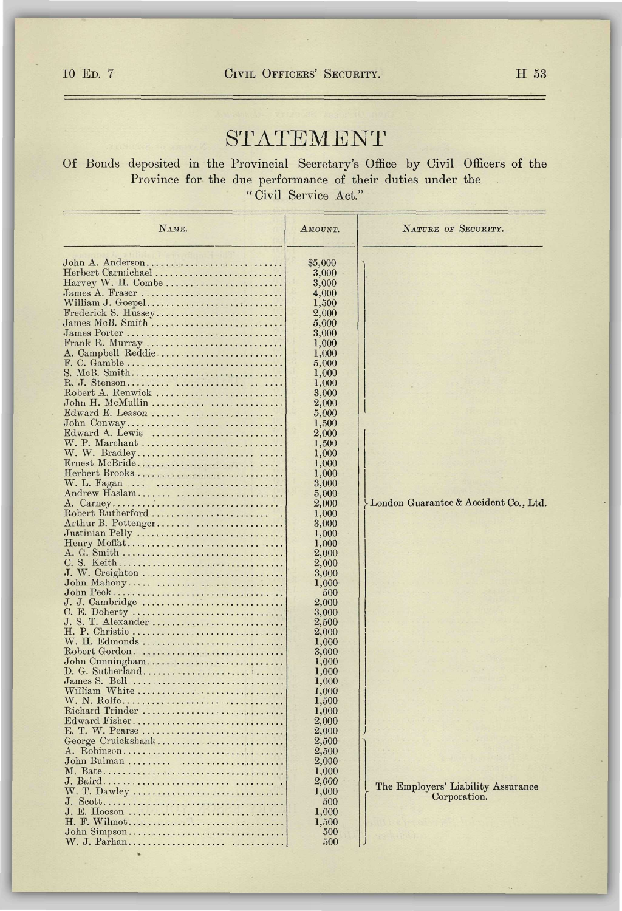## STATEMENT

Of Bonds deposited in the Provincial Secretary's Office by Civil Officers of the Province for the due performance of their duties under the "Civil Service Act."

| NAME.                                                                      | AMOUNT.        | NATURE OF SECURITY.                   |
|----------------------------------------------------------------------------|----------------|---------------------------------------|
| John A. Anderson                                                           | \$5,000        |                                       |
| Herbert Carmichael                                                         | 3,000          |                                       |
| $Harvey$ W. H. Combe                                                       | 3,000          |                                       |
| James A. Fraser                                                            | 4,000          |                                       |
| William J. Goepel                                                          | 1,500          |                                       |
| Frederick S. Hussey                                                        | 2,000          |                                       |
| $James MeB. Smith \ldots \ldots \ldots \ldots \ldots \ldots \ldots \ldots$ | 5,000          |                                       |
| James Porter                                                               | 3,000          |                                       |
| Frank R. Murray                                                            | 1,000          |                                       |
| A. Campbell Reddie                                                         | 1,000          |                                       |
| F. C. Gamble                                                               | 5,000          |                                       |
| S. McB. Smith                                                              | 1,000          |                                       |
|                                                                            | 1,000          |                                       |
| Robert A. Renwick                                                          | 3,000          |                                       |
| John H. McMullin                                                           | 2,000          |                                       |
| Edward E. Leason                                                           | 5,000          |                                       |
|                                                                            | 1,500          |                                       |
| Edward A. Lewis                                                            | 2,000          |                                       |
|                                                                            | 1,500          |                                       |
|                                                                            | 1,000          |                                       |
| Ernest McBride                                                             | 1,000          |                                       |
| Herbert Brooks                                                             | 1,000          |                                       |
| W. L. Fagan                                                                | 3,000          |                                       |
| Andrew Haslam                                                              | 5,000          |                                       |
| A. Carney                                                                  | 2,000          | London Guarantee & Accident Co., Ltd. |
| Robert Rutherford                                                          | 1,000          |                                       |
| Arthur B. Pottenger                                                        | 3,000          |                                       |
| Justinian Pelly                                                            | 1,000          |                                       |
|                                                                            | 1,000<br>2,000 |                                       |
|                                                                            | 2,000          |                                       |
| J. W. Creighton                                                            | 3,000          |                                       |
| John Mahony                                                                | 1,000          |                                       |
| John Peck                                                                  | 500            |                                       |
| J. J. Cambridge                                                            | 2,000          |                                       |
| C. E. Doherty                                                              | 3,000          |                                       |
| J. S. T. Alexander                                                         | 2,500          |                                       |
| H. P. Christie                                                             | 2,000          |                                       |
|                                                                            | 1,000          |                                       |
| Robert Gordon.                                                             | 3,000          |                                       |
| John Cunningham                                                            | 1,000          |                                       |
|                                                                            | 1,000          |                                       |
| James S. Bell<br>William White                                             | 1,000<br>1,000 |                                       |
|                                                                            |                |                                       |
| W. N. Rolfe<br>Richard Trinder                                             | 1,500<br>1,000 |                                       |
| Edward Fisher                                                              | 2,000          |                                       |
| E. T. W. Pearse                                                            | 2,000          |                                       |
| George Cruickshank                                                         | 2,500          |                                       |
|                                                                            | 2,500          |                                       |
| John Bulman                                                                | 2,000          |                                       |
|                                                                            | 1,000          |                                       |
|                                                                            | 2,000          |                                       |
| W. T. Dawley                                                               | 1,000          | The Employers' Liability Assurance    |
|                                                                            | 500            | Corporation.                          |
| J. E. Hooson                                                               | 1,000          |                                       |
| H. F. Wilmot                                                               | 1,500          |                                       |
| John Simpson                                                               | 500            |                                       |
| W. J. Parhan                                                               | 500            |                                       |

÷,